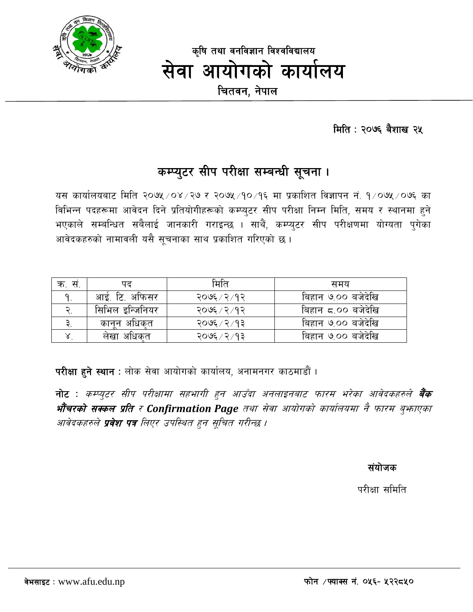

कृषि तथा वनविज्ञान विश्वविद्यालय सेवा आयोगको कार्यालय चितवन, नेपाल

मिति: २०७६ बैशाख २५

### कम्प्युटर सीप परीक्षा सम्बन्धी सूचना ।

यस कार्यालयबाट मिति २०७५/०४/२७ र २०७५/१०/१६ मा प्रकाशित विज्ञापन नं. १/०७५/०७६ का विभिन्न पदहरूमा आवेदन दिने प्रतियोगीहरूको कम्प्युटर सीप परीक्षा निम्न मिति, समय र स्थानमा हुने भएकाले सम्बन्धित सबैलाई जानकारी गराइन्छ । साथैं, कम्प्युटर सीप परीक्षणमा योग्यता पुगेका आवेदकहरुको नामावली यसै सचनाका साथ प्रकाशित गरिएको छ।

| क. स         | पढ              | मिति          | समय                |
|--------------|-----------------|---------------|--------------------|
| $\mathbf{q}$ | आई. टि. अफिसर   | २०७६ ⁄ २ ⁄ १२ | बिहान ७.०० बजेदेखि |
|              | सिभिल इन्जिनियर | २०७६ / २ / १२ | बिहान ८.०० बजेदेखि |
|              | कानन अधिकत      | २०७६ ⁄ २ ⁄ १३ | बिहान ७.०० बजेदेखि |
|              | लेखा अधिकत      | २०७६ ⁄ २ ⁄ १३ | बिहान ७.०० बजेदेखि |

परीक्षा हुने स्थान : लोक सेवा आयोगको कार्यालय, अनामनगर काठमाडौं ।

नोट : कम्प्युटर सीप परीक्षामा सहभागी हुन आउँदा अनलाइनबाट फारम भरेका आवेदकहरुले **बैंक भौचरको सक्कल प्रति र Confirmation Page** तथा सेवा आयोगको कार्यालयमा नै फारम बुफाएका आवेदकहरुले **प्रवेश पत्र** लिएर उपस्थित हुन सुचित गरीन्छ ।

संयोजक

परीक्षा समिति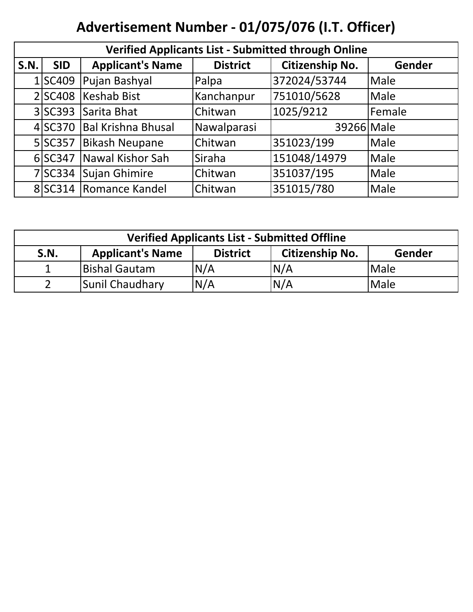# **Advertisement Number - 01/075/076 (I.T. Officer)**

| <b>Verified Applicants List - Submitted through Online</b> |            |                           |                 |                 |             |  |
|------------------------------------------------------------|------------|---------------------------|-----------------|-----------------|-------------|--|
| <b>S.N.</b>                                                | <b>SID</b> | <b>Applicant's Name</b>   | <b>District</b> | Citizenship No. | Gender      |  |
|                                                            | 1 SC409    | Pujan Bashyal             | Palpa           | 372024/53744    | <b>Male</b> |  |
|                                                            | 2 SC408    | Keshab Bist               | Kanchanpur      | 751010/5628     | <b>Male</b> |  |
|                                                            | 3 SC393    | Sarita Bhat               | Chitwan         | 1025/9212       | Female      |  |
|                                                            | 4 SC370    | <b>Bal Krishna Bhusal</b> | Nawalparasi     | 39266 Male      |             |  |
|                                                            | 5 SC357    | <b>Bikash Neupane</b>     | Chitwan         | 351023/199      | Male        |  |
|                                                            | 6 SC347    | Nawal Kishor Sah          | Siraha          | 151048/14979    | Male        |  |
|                                                            | 7 SC334    | Sujan Ghimire             | Chitwan         | 351037/195      | Male        |  |
|                                                            |            | 8 SC314   Romance Kandel  | Chitwan         | 351015/780      | Male        |  |

| <b>Verified Applicants List - Submitted Offline</b>                                    |                      |     |     |             |  |
|----------------------------------------------------------------------------------------|----------------------|-----|-----|-------------|--|
| <b>Applicant's Name</b><br><b>Citizenship No.</b><br><b>District</b><br>Gender<br>S.N. |                      |     |     |             |  |
|                                                                                        | <b>Bishal Gautam</b> | N/A | N/A | <b>Male</b> |  |
|                                                                                        | Sunil Chaudhary      | N/A | N/A | <b>Male</b> |  |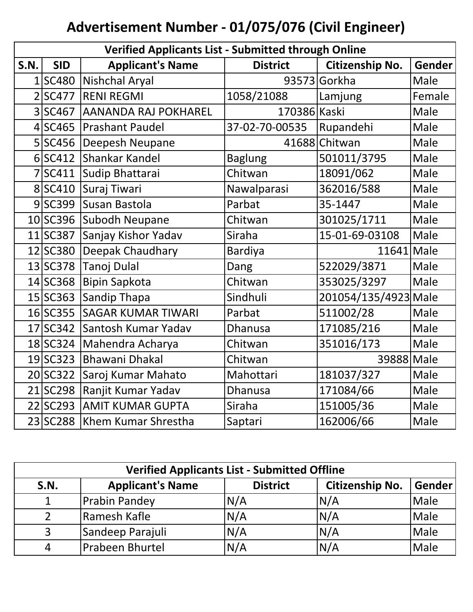# **Advertisement Number - 01/075/076 (Civil Engineer)**

|                | <b>Verified Applicants List - Submitted through Online</b> |                           |                 |                      |               |  |  |
|----------------|------------------------------------------------------------|---------------------------|-----------------|----------------------|---------------|--|--|
| <b>S.N.</b>    | <b>SID</b>                                                 | <b>Applicant's Name</b>   | <b>District</b> | Citizenship No.      | <b>Gender</b> |  |  |
| $\mathbf{1}$   | SC480                                                      | <b>Nishchal Aryal</b>     |                 | 93573 Gorkha         | Male          |  |  |
| $\overline{2}$ | <b>SC477</b>                                               | <b>RENI REGMI</b>         | 1058/21088      | Lamjung              | Female        |  |  |
| 3              | <b>SC467</b>                                               | AANANDA RAJ POKHAREL      | 170386 Kaski    |                      | Male          |  |  |
| 4              | <b>SC465</b>                                               | <b>Prashant Paudel</b>    | 37-02-70-00535  | Rupandehi            | Male          |  |  |
| 5              | <b>SC456</b>                                               | Deepesh Neupane           |                 | 41688 Chitwan        | Male          |  |  |
|                | $6$ SC412                                                  | Shankar Kandel            | <b>Baglung</b>  | 501011/3795          | Male          |  |  |
| 7              | SC411                                                      | Sudip Bhattarai           | Chitwan         | 18091/062            | Male          |  |  |
|                | 8 SC410                                                    | Suraj Tiwari              | Nawalparasi     | 362016/588           | Male          |  |  |
|                | $9$ SC399                                                  | Susan Bastola             | Parbat          | 35-1447              | Male          |  |  |
|                | $10$ SC396                                                 | <b>Subodh Neupane</b>     | Chitwan         | 301025/1711          | Male          |  |  |
|                | 11 SC387                                                   | Sanjay Kishor Yadav       | Siraha          | 15-01-69-03108       | Male          |  |  |
|                | 12 SC380                                                   | Deepak Chaudhary          | <b>Bardiya</b>  | $11641$ Male         |               |  |  |
|                | 13 SC378                                                   | Tanoj Dulal               | Dang            | 522029/3871          | Male          |  |  |
|                | 14 SC368                                                   | <b>Bipin Sapkota</b>      | Chitwan         | 353025/3297          | Male          |  |  |
|                | 15 SC363                                                   | Sandip Thapa              | Sindhuli        | 201054/135/4923 Male |               |  |  |
|                | 16 SC355                                                   | <b>SAGAR KUMAR TIWARI</b> | Parbat          | 511002/28            | Male          |  |  |
|                | 17 SC342                                                   | Santosh Kumar Yadav       | <b>Dhanusa</b>  | 171085/216           | Male          |  |  |
|                | 18 SC324                                                   | Mahendra Acharya          | Chitwan         | 351016/173           | Male          |  |  |
|                | 19SC323                                                    | <b>Bhawani Dhakal</b>     | Chitwan         | 39888 Male           |               |  |  |
|                | 20 SC322                                                   | Saroj Kumar Mahato        | Mahottari       | 181037/327           | Male          |  |  |
|                | 21 SC298                                                   | Ranjit Kumar Yadav        | <b>Dhanusa</b>  | 171084/66            | Male          |  |  |
|                | 22 SC293                                                   | <b>AMIT KUMAR GUPTA</b>   | Siraha          | 151005/36            | Male          |  |  |
|                | 23 SC288                                                   | Khem Kumar Shrestha       | Saptari         | 162006/66            | Male          |  |  |

| <b>Verified Applicants List - Submitted Offline</b> |                         |                 |                        |               |  |  |
|-----------------------------------------------------|-------------------------|-----------------|------------------------|---------------|--|--|
| <b>S.N.</b>                                         | <b>Applicant's Name</b> | <b>District</b> | <b>Citizenship No.</b> | <b>Gender</b> |  |  |
|                                                     | <b>Prabin Pandey</b>    | N/A             | N/A                    | Male          |  |  |
|                                                     | Ramesh Kafle            | N/A             | N/A                    | Male          |  |  |
|                                                     | Sandeep Parajuli        | N/A             | N/A                    | Male          |  |  |
|                                                     | <b>Prabeen Bhurtel</b>  | N/A             | N/A                    | Male          |  |  |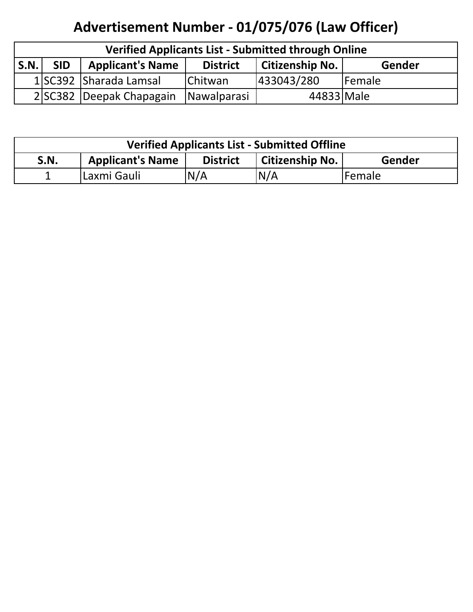## **Advertisement Number - 01/075/076 (Law Officer)**

| <b>Verified Applicants List - Submitted through Online</b> |            |                          |                 |                        |        |
|------------------------------------------------------------|------------|--------------------------|-----------------|------------------------|--------|
| <b>S.N.</b>                                                | <b>SID</b> | <b>Applicant's Name</b>  | <b>District</b> | <b>Citizenship No.</b> | Gender |
|                                                            |            | 1 SC392 Sharada Lamsal   | <b>Chitwan</b>  | 433043/280             | Female |
|                                                            |            | 2 SC382 Deepak Chapagain | Nawalparasi     | 44833 Male             |        |

| <b>Verified Applicants List - Submitted Offline</b> |                                                                             |      |     |         |  |  |
|-----------------------------------------------------|-----------------------------------------------------------------------------|------|-----|---------|--|--|
| <b>S.N.</b>                                         | <b>Applicant's Name</b><br><b>District</b><br>  Citizenship No.  <br>Gender |      |     |         |  |  |
|                                                     | Laxmi Gauli                                                                 | IN/A | N/A | lFemale |  |  |